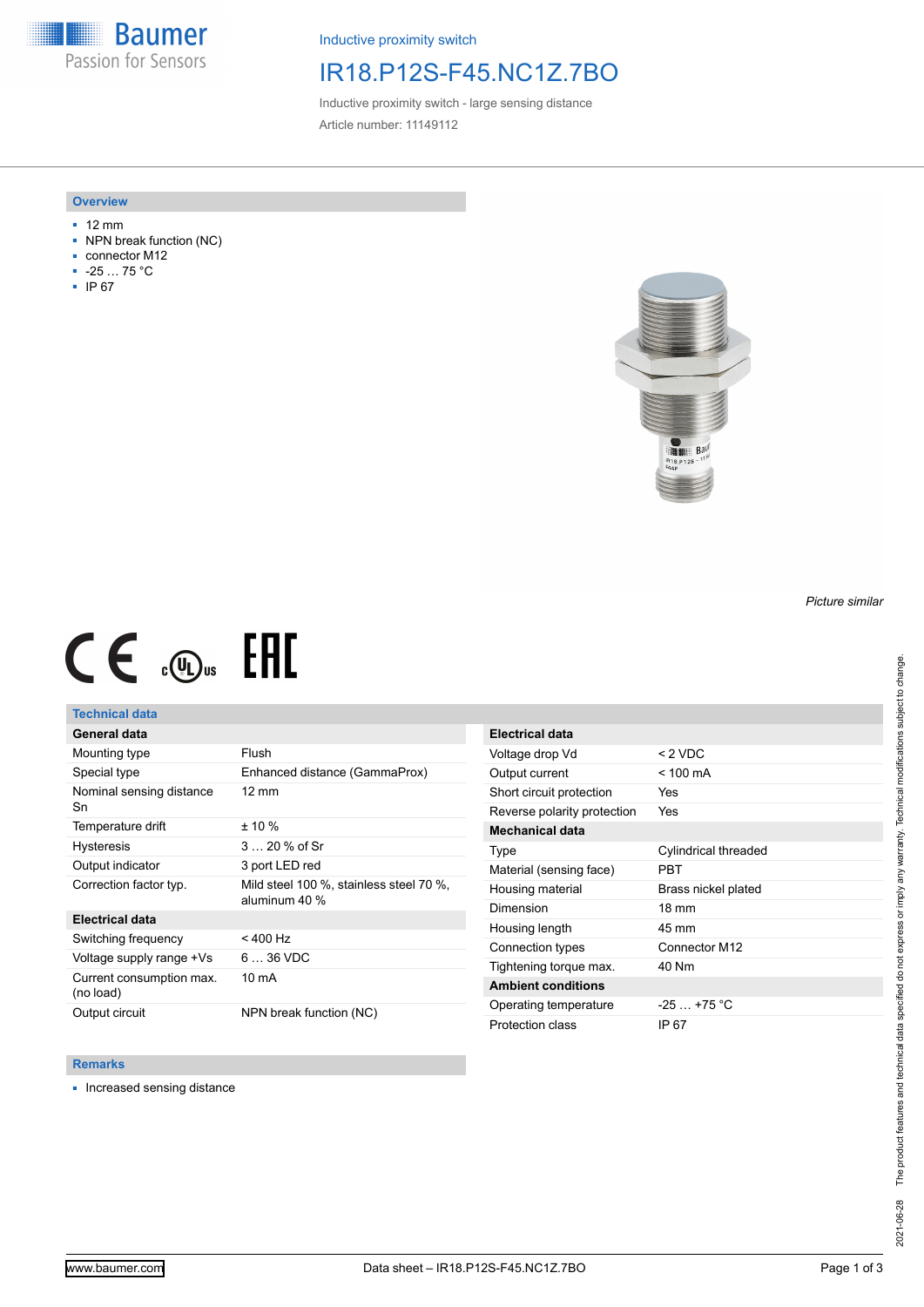**Baumer** Passion for Sensors

Inductive proximity switch

## IR18.P12S-F45.NC1Z.7BO

Inductive proximity switch - large sensing distance Article number: 11149112

### **Overview**

- 12 mm
- NPN break function (NC)
- connector M12
- -25 … 75 °C
- IP 67



# $CE \mathcal{L}$  ( $\mathcal{L}$  and  $SE$

## **Technical data**

## **General data**

| Mounting type                         | Flush                                                    |
|---------------------------------------|----------------------------------------------------------|
| Special type                          | Enhanced distance (GammaProx)                            |
| Nominal sensing distance<br>Sn        | $12 \text{ mm}$                                          |
| Temperature drift                     | $± 10 \%$                                                |
| <b>Hysteresis</b>                     | $320%$ of Sr                                             |
| Output indicator                      | 3 port LED red                                           |
| Correction factor typ.                | Mild steel 100 %, stainless steel 70 %,<br>aluminum 40 % |
| <b>Electrical data</b>                |                                                          |
| Switching frequency                   | $<$ 400 Hz                                               |
| Voltage supply range +Vs              | $636$ VDC                                                |
| Current consumption max.<br>(no load) | 10 mA                                                    |
| Output circuit                        | NPN break function (NC)                                  |

| <b>Electrical data</b>      |                      |
|-----------------------------|----------------------|
| Voltage drop Vd             | $< 2$ VDC            |
| Output current              | $<$ 100 mA           |
| Short circuit protection    | Yes                  |
| Reverse polarity protection | <b>Yes</b>           |
| <b>Mechanical data</b>      |                      |
| Type                        | Cylindrical threaded |
| Material (sensing face)     | PRT                  |
| Housing material            | Brass nickel plated  |
| Dimension                   | $18 \text{ mm}$      |
| Housing length              | 45 mm                |
| Connection types            | Connector M12        |
| Tightening torque max.      | 40 Nm                |
| <b>Ambient conditions</b>   |                      |
| Operating temperature       | $-25$ +75 °C         |
| Protection class            | IP 67                |

### **Remarks**

■ Increased sensing distance

*Picture similar*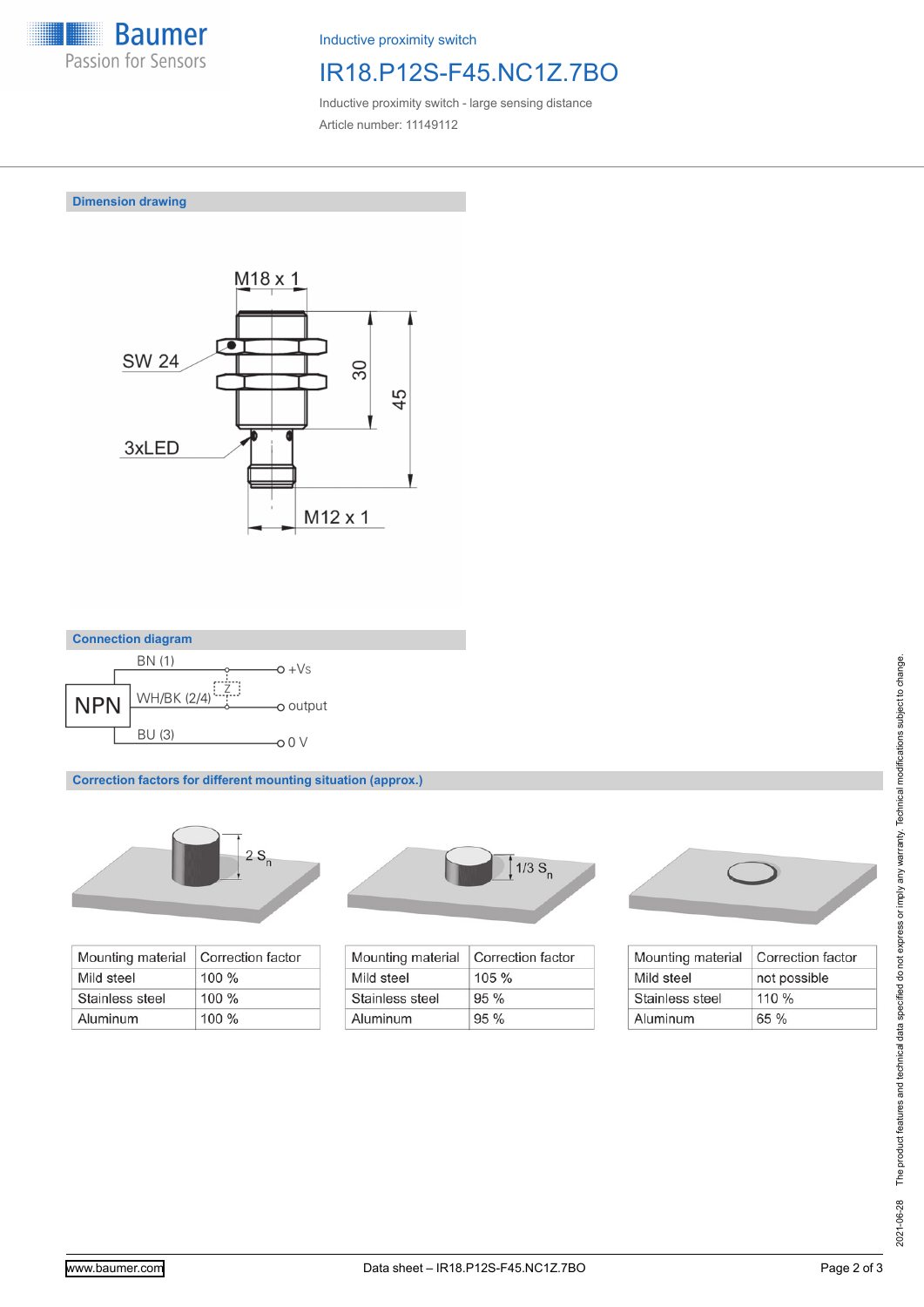

Inductive proximity switch

# IR18.P12S-F45.NC1Z.7BO

Inductive proximity switch - large sensing distance Article number: 11149112

**Dimension drawing**





**Correction factors for different mounting situation (approx.)**



| Mounting material | Correction factor |
|-------------------|-------------------|
| Mild steel        | $100 \%$          |
| Stainless steel   | $100 \%$          |
| Aluminum          | $100 \%$          |



| Mounting material | Correction factor |
|-------------------|-------------------|
| Mild steel        | $105 \%$          |
| Stainless steel   | $95\%$            |
| Aluminum          | 95%               |



| Mounting material | Correction factor |
|-------------------|-------------------|
| Mild steel        | not possible      |
| Stainless steel   | $110\%$           |
| Aluminum          | 65%               |